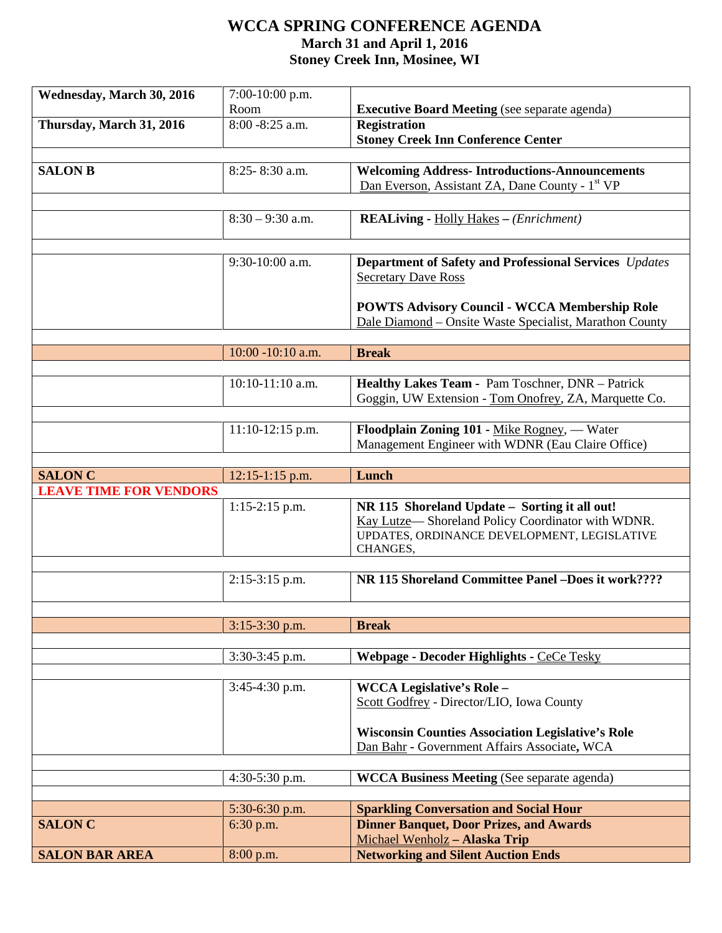## **WCCA SPRING CONFERENCE AGENDA March 31 and April 1, 2016 Stoney Creek Inn, Mosinee, WI**

| Wednesday, March 30, 2016     | $7:00-10:00$ p.m.  |                                                                                                   |
|-------------------------------|--------------------|---------------------------------------------------------------------------------------------------|
|                               | Room               | <b>Executive Board Meeting</b> (see separate agenda)                                              |
| Thursday, March 31, 2016      | 8:00 - 8:25 a.m.   | <b>Registration</b>                                                                               |
|                               |                    | <b>Stoney Creek Inn Conference Center</b>                                                         |
|                               |                    |                                                                                                   |
| <b>SALON B</b>                | 8:25-8:30 a.m.     | <b>Welcoming Address-Introductions-Announcements</b>                                              |
|                               |                    | Dan Everson, Assistant ZA, Dane County - 1 <sup>st</sup> VP                                       |
|                               |                    |                                                                                                   |
|                               | $8:30 - 9:30$ a.m. | <b>REALiving - Holly Hakes - (Enrichment)</b>                                                     |
|                               |                    |                                                                                                   |
|                               | 9:30-10:00 a.m.    | Department of Safety and Professional Services Updates                                            |
|                               |                    | <b>Secretary Dave Ross</b>                                                                        |
|                               |                    |                                                                                                   |
|                               |                    | <b>POWTS Advisory Council - WCCA Membership Role</b>                                              |
|                               |                    | Dale Diamond - Onsite Waste Specialist, Marathon County                                           |
|                               |                    |                                                                                                   |
|                               | 10:00 -10:10 a.m.  | <b>Break</b>                                                                                      |
|                               |                    |                                                                                                   |
|                               | $10:10-11:10$ a.m. | Healthy Lakes Team - Pam Toschner, DNR - Patrick                                                  |
|                               |                    | Goggin, UW Extension - Tom Onofrey, ZA, Marquette Co.                                             |
|                               |                    |                                                                                                   |
|                               | $11:10-12:15$ p.m. | Floodplain Zoning 101 - Mike Rogney, — Water<br>Management Engineer with WDNR (Eau Claire Office) |
|                               |                    |                                                                                                   |
| <b>SALON C</b>                | $12:15-1:15$ p.m.  | Lunch                                                                                             |
| <b>LEAVE TIME FOR VENDORS</b> |                    |                                                                                                   |
|                               | $1:15-2:15$ p.m.   | NR 115 Shoreland Update - Sorting it all out!                                                     |
|                               |                    | Kay Lutze— Shoreland Policy Coordinator with WDNR.                                                |
|                               |                    | UPDATES, ORDINANCE DEVELOPMENT, LEGISLATIVE                                                       |
|                               |                    | CHANGES,                                                                                          |
|                               |                    |                                                                                                   |
|                               | $2:15-3:15$ p.m.   | NR 115 Shoreland Committee Panel -Does it work????                                                |
|                               |                    |                                                                                                   |
|                               | 3:15-3:30 p.m.     | <b>Break</b>                                                                                      |
|                               |                    |                                                                                                   |
|                               | $3:30-3:45$ p.m.   | Webpage - Decoder Highlights - CeCe Tesky                                                         |
|                               |                    |                                                                                                   |
|                               | 3:45-4:30 p.m.     | <b>WCCA Legislative's Role -</b>                                                                  |
|                               |                    | Scott Godfrey - Director/LIO, Iowa County                                                         |
|                               |                    |                                                                                                   |
|                               |                    | <b>Wisconsin Counties Association Legislative's Role</b>                                          |
|                               |                    | Dan Bahr - Government Affairs Associate, WCA                                                      |
|                               |                    |                                                                                                   |
|                               | 4:30-5:30 p.m.     | <b>WCCA Business Meeting (See separate agenda)</b>                                                |
|                               |                    |                                                                                                   |
|                               | $5:30-6:30$ p.m.   | <b>Sparkling Conversation and Social Hour</b>                                                     |
|                               |                    |                                                                                                   |
| <b>SALON C</b>                | 6:30 p.m.          | <b>Dinner Banquet, Door Prizes, and Awards</b>                                                    |
| <b>SALON BAR AREA</b>         | 8:00 p.m.          | Michael Wenholz - Alaska Trip<br><b>Networking and Silent Auction Ends</b>                        |